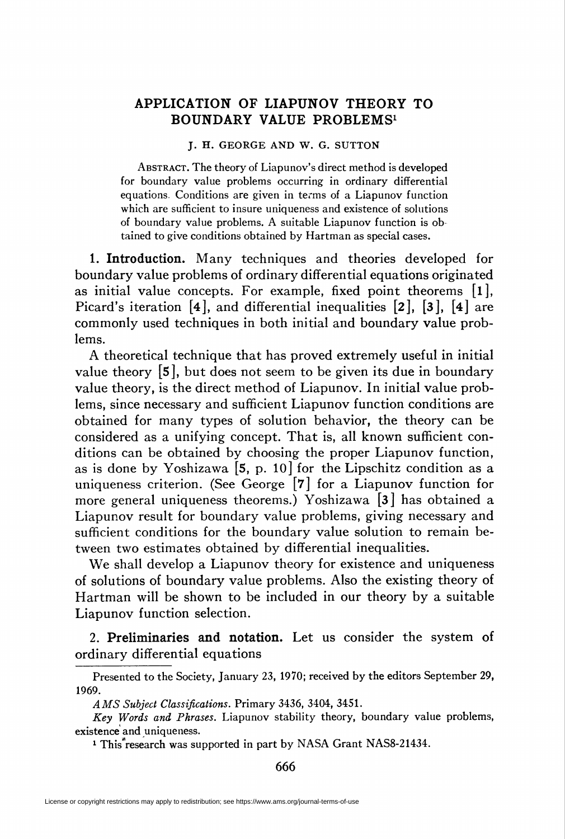## APPLICATION OF LIAPUNOV THEORY TO BOUNDARY VALUE PROBLEMS1

## J. H. GEORGE AND W. G. SUTTON

Abstract. The theory of Liapunov's direct method is developed for boundary value problems occurring in ordinary differential equations. Conditions are given in terms of a Liapunov function which are sufficient to insure uniqueness and existence of solutions of boundary value problems. A suitable Liapunov function is ob tained to give conditions obtained by Hartman as special cases.

1. Introduction. Many techniques and theories developed for boundary value problems of ordinary differential equations originated as initial value concepts. For example, fixed point theorems [l], Picard's iteration [4], and differential inequalities [2], [3], [4] are commonly used techniques in both initial and boundary value problems.

A theoretical technique that has proved extremely useful in initial value theory [5], but does not seem to be given its due in boundary value theory, is the direct method of Liapunov. In initial value problems, since necessary and sufficient Liapunov function conditions are obtained for many types of solution behavior, the theory can be considered as a unifying concept. That is, all known sufficient conditions can be obtained by choosing the proper Liapunov function, as is done by Yoshizawa  $[5, p. 10]$  for the Lipschitz condition as a uniqueness criterion. (See George [7] for a Liapunov function for more general uniqueness theorems.) Yoshizawa [3] has obtained a Liapunov result for boundary value problems, giving necessary and sufficient conditions for the boundary value solution to remain between two estimates obtained by differential inequalities.

We shall develop a Liapunov theory for existence and uniqueness of solutions of boundary value problems. Also the existing theory of Hartman will be shown to be included in our theory by a suitable Liapunov function selection.

2. Preliminaries and notation. Let us consider the system of ordinary differential equations

Presented to the Society, January 23, 1970; received by the editors September 29, 1969.

AMS Subject Classifications. Primary 3436, 3404, 3451.

Key Words and Phrases. Liapunov stability theory, boundary value problems, existence and uniqueness.

<sup>&</sup>lt;sup>1</sup> This<sup>\*</sup>research was supported in part by NASA Grant NAS8-21434.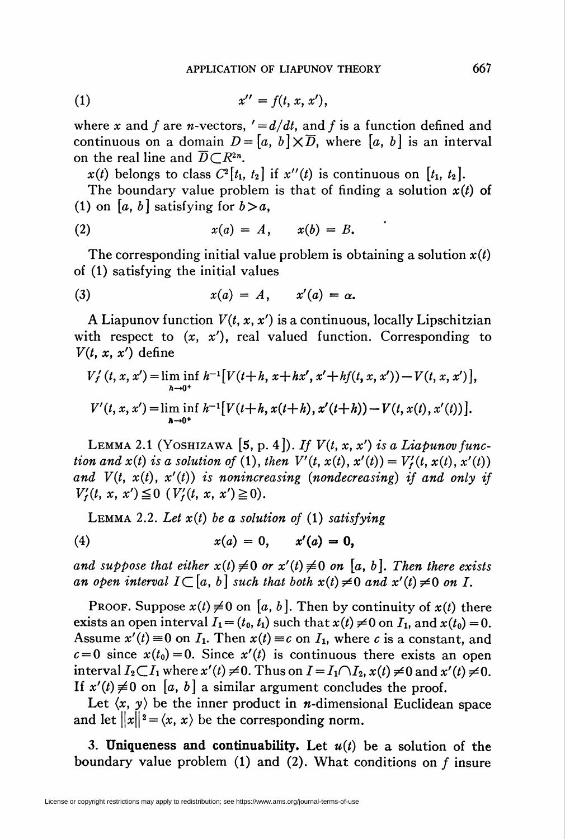$$
(1) \t\t x'' = f(t, x, x'),
$$

where x and f are n-vectors,  $\prime = d/dt$ , and f is a function defined and continuous on a domain  $D = [a, b] \times \overline{D}$ , where  $[a, b]$  is an interval on the real line and  $\overline{D} \subset \mathbb{R}^{2n}$ .

 $x(t)$  belongs to class  $C^2[t_1, t_2]$  if  $x''(t)$  is continuous on  $[t_1, t_2]$ .

The boundary value problem is that of finding a solution  $x(t)$  of (1) on [a, b] satisfying for  $b > a$ ,

$$
(2) \hspace{1cm} x(a) = A, \hspace{1cm} x(b) = B.
$$

The corresponding initial value problem is obtaining a solution  $x(t)$ of (1) satisfying the initial values

$$
(3) \hspace{1cm} x(a) = A, \hspace{1cm} x'(a) = \alpha.
$$

A Liapunov function  $V(t, x, x')$  is a continuous, locally Lipschitzian with respect to  $(x, x')$ , real valued function. Corresponding to  $V(t, x, x')$  define

$$
V'_{f}(t, x, x') = \liminf_{h \to 0^{+}} h^{-1} [V(t+h, x+hx', x'+hf(t, x, x')) - V(t, x, x')],
$$
  

$$
V'(t, x, x') = \liminf_{h \to 0^{+}} h^{-1} [V(t+h, x(t+h), x'(t+h)) - V(t, x(t), x'(t))].
$$

LEMMA 2.1 (YOSHIZAWA [5, p. 4]). If  $V(t, x, x')$  is a Liapunov function and  $x(t)$  is a solution of (1), then  $V'(t, x(t), x'(t)) = V'_t(t, x(t), x'(t))$ and  $V(t, x(t), x'(t))$  is nonincreasing (nondecreasing) if and only if  $V'_t(t, x, x') \leq 0$  ( $V'_t(t, x, x') \geq 0$ ).

LEMMA 2.2. Let  $x(t)$  be a solution of (1) satisfying

(4) 
$$
x(a) = 0, \quad x'(a) = 0,
$$

and suppose that either  $x(t) \neq 0$  or  $x'(t) \neq 0$  on [a, b]. Then there exists an open interval  $I\subset [a, b]$  such that both  $x(t) \neq 0$  and  $x'(t) \neq 0$  on I.

PROOF. Suppose  $x(t) \neq 0$  on [a, b]. Then by continuity of  $x(t)$  there exists an open interval  $I_1=(t_0, t_1)$  such that  $x(t) \neq 0$  on  $I_1$ , and  $x(t_0) = 0$ . Assume  $x'(t) = 0$  on  $I_1$ . Then  $x(t) = c$  on  $I_1$ , where c is a constant, and  $c=0$  since  $x(t_0)=0$ . Since  $x'(t)$  is continuous there exists an open interval  $I_2 \subset I_1$  where  $x'(t) \neq 0$ . Thus on  $I = I_1 \cap I_2$ ,  $x(t) \neq 0$  and  $x'(t) \neq 0$ . If  $x'(t) \neq 0$  on [a, b] a similar argument concludes the proof.

Let  $\langle x, y \rangle$  be the inner product in *n*-dimensional Euclidean space and let  $||x||^2 = \langle x, x \rangle$  be the corresponding norm.

3. Uniqueness and continuability. Let  $u(t)$  be a solution of the boundary value problem (1) and (2). What conditions on  $f$  insure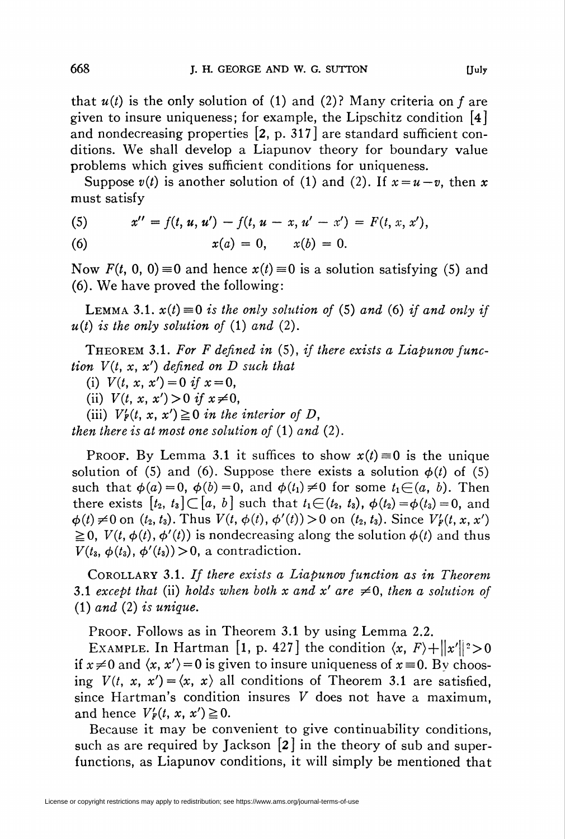that  $u(t)$  is the only solution of (1) and (2)? Many criteria on f are given to insure uniqueness; for example, the Lipschitz condition [4] and nondecreasing properties [2, p. 317] are standard sufficient conditions. We shall develop a Liapunov theory for boundary value problems which gives sufficient conditions for uniqueness.

Suppose  $v(t)$  is another solution of (1) and (2). If  $x = u - v$ , then x must satisfy

(5) 
$$
x'' = f(t, u, u') - f(t, u - x, u' - x') = F(t, x, x'),
$$

(6) 
$$
x(a) = 0, \quad x(b) = 0.
$$

Now  $F(t, 0, 0) \equiv 0$  and hence  $x(t) \equiv 0$  is a solution satisfying (5) and (6). We have proved the following:

LEMMA 3.1.  $x(t) \equiv 0$  is the only solution of (5) and (6) if and only if  $u(t)$  is the only solution of (1) and (2).

THEOREM 3.1. For F defined in  $(5)$ , if there exists a Liapunov function  $V(t, x, x')$  defined on D such that

(i)  $V(t, x, x') = 0$  if  $x = 0$ ,

(ii)  $V(t, x, x') > 0$  if  $x \neq 0$ ,

(iii)  $V'_F(t, x, x') \ge 0$  in the interior of D,

then there is at most one solution of  $(1)$  and  $(2)$ .

Proof. By Lemma 3.1 it suffices to show  $x(t) \equiv 0$  is the unique solution of (5) and (6). Suppose there exists a solution  $\phi(t)$  of (5) such that  $\phi(a)=0$ ,  $\phi(b)=0$ , and  $\phi(t_1)\neq0$  for some  $t_1\in(a, b)$ . Then there exists  $[t_2, t_3] \subset [a, b]$  such that  $t_1 \in (t_2, t_3)$ ,  $\phi(t_2)=\phi(t_3)=0$ , and  $\phi(t) \neq 0$  on  $(t_2, t_3)$ . Thus  $V(t, \phi(t), \phi'(t)) > 0$  on  $(t_2, t_3)$ . Since  $V'_p(t, x, x')$  $\geq 0$ ,  $V(t, \phi(t), \phi'(t))$  is nondecreasing along the solution  $\phi(t)$  and thus  $V(t_3, \phi(t_3), \phi'(t_3))$  > 0, a contradiction.

Corollary 3.1. If there exists a Liapunov function as in Theorem 3.1 except that (ii) holds when both x and x' are  $\neq 0$ , then a solution of  $(1)$  and  $(2)$  is unique.

PROOF. Follows as in Theorem 3.1 by using Lemma 2.2.

EXAMPLE. In Hartman [1, p. 427] the condition  $\langle x, F \rangle + ||x'||^2 > 0$ if  $x\neq0$  and  $\langle x, x'\rangle = 0$  is given to insure uniqueness of  $x \equiv 0$ . By choosing  $V(t, x, x') = \langle x, x \rangle$  all conditions of Theorem 3.1 are satisfied, since Hartman's condition insures  $V$  does not have a maximum, and hence  $V'_F(t, x, x') \geq 0$ .

Because it may be convenient to give continuability conditions, such as are required by Jackson [2] in the theory of sub and superfunctions, as Liapunov conditions, it will simply be mentioned that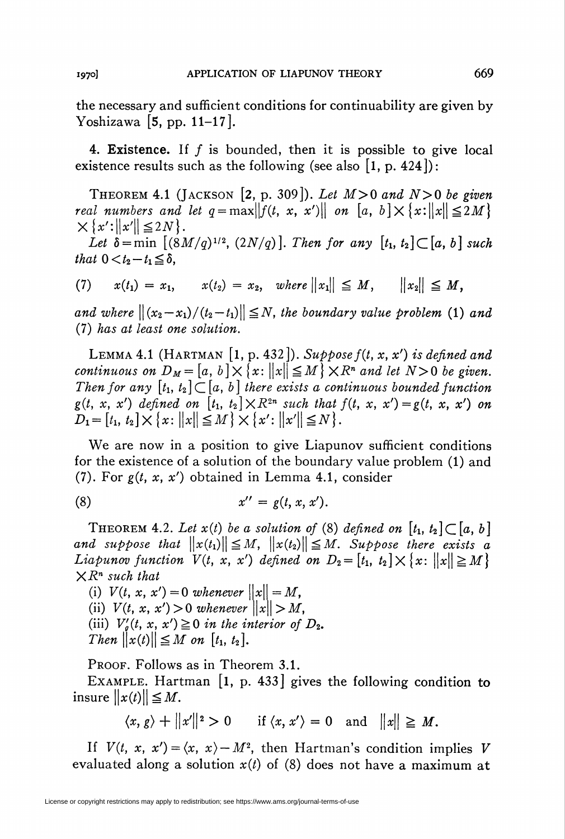the necessary and sufficient conditions for continuability are given by Yoshizawa [5, pp. 11-17].

4. Existence. If  $f$  is bounded, then it is possible to give local existence results such as the following (see also  $[1, p. 424]$ ):

THEOREM 4.1 (JACKSON [2, p. 309]). Let  $M>0$  and  $N>0$  be given real numbers and let  $q = \max ||f(t, x, x')||$  on  $[a, b] \times \{x: ||x|| \leq 2M\}$  $\times\{x':\|x'\|\leq 2N\}.$ 

Let  $\delta$  = min  $[(8M/q)^{1/2}, (2N/q)]$ . Then for any  $[t_1, t_2] \subset [a, b]$  such that  $0 < t_2-t_1 \leq \delta$ ,

(7) 
$$
x(t_1) = x_1
$$
,  $x(t_2) = x_2$ , where  $||x_1|| \leq M$ ,  $||x_2|| \leq M$ ,

and where  $||(x_2-x_1)/(t_2-t_1)|| \leq N$ , the boundary value problem (1) and (7) has at least one solution.

LEMMA 4.1 (HARTMAN [1, p. 432]). Suppose  $f(t, x, x')$  is defined and continuous on  $D_M = [a, b] \times \{x: ||x|| \leq M\} \times R^n$  and let  $N>0$  be given. Then for any  $[t_1, t_2] \subset [a, b]$  there exists a continuous bounded function  $g(t, x, x')$  defined on  $[t_1, t_2] \times R^{2n}$  such that  $f(t, x, x') = g(t, x, x')$  on  $D_1 = [t_1, t_2] \times \{x: ||x|| \leq M\} \times \{x': ||x'|| \leq N\}.$ 

We are now in a position to give Liapunov sufficient conditions for the existence of a solution of the boundary value problem (1) and (7). For  $g(t, x, x')$  obtained in Lemma 4.1, consider

$$
(8) \t x'' = g(t, x, x').
$$

THEOREM 4.2. Let  $x(t)$  be a solution of (8) defined on  $[t_1, t_2] \subset [a, b]$ and suppose that  $\|x(t_1)\| \leq M$ ,  $\|x(t_2)\| \leq M$ . Suppose there exists a Liapunov function  $V(t, x, x')$  defined on  $D_2 = [t_1, t_2] \times \{x: ||x|| \ge M\}$  $\mathsf{X}R^n$  such that

(i)  $V(t, x, x') = 0$  whenever  $||x|| = M$ , (ii)  $V(t, x, x') > 0$  whenever  $||x|| > M$ , (iii)  $V'_g(t, x, x') \ge 0$  in the interior of  $D_2$ . Then  $\|x(t)\| \leq M$  on  $[t_1, t_2]$ .

PROOF. Follows as in Theorem 3.1.

EXAMPLE. Hartman [1, p. 433] gives the following condition to insure  $||x(t)|| \leq M$ .

 $\langle x, g \rangle + ||x'||^2 > 0$  if  $\langle x, x' \rangle = 0$  and  $||x|| \ge M$ .

If  $V(t, x, x') = \langle x, x \rangle - M^2$ , then Hartman's condition implies V evaluated along a solution  $x(t)$  of (8) does not have a maximum at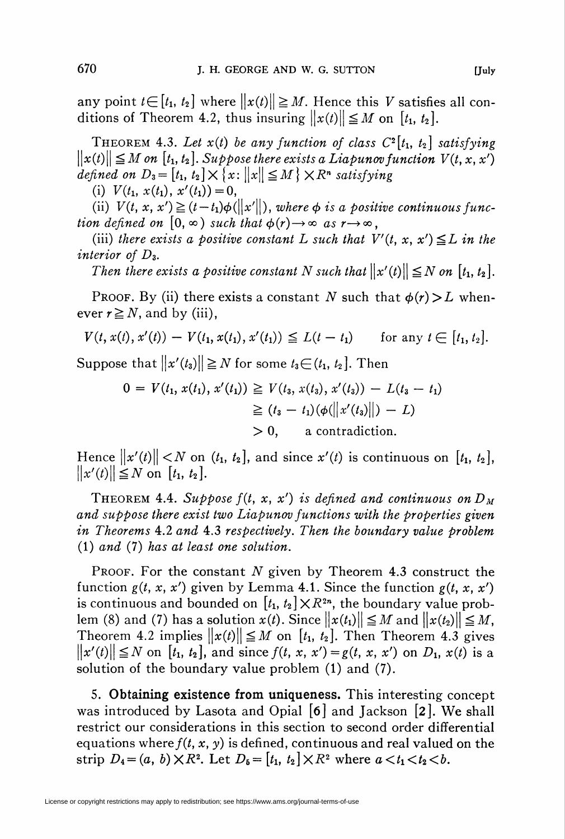any point  $t \in [t_1, t_2]$  where  $\|x(t)\| \ge M$ . Hence this V satisfies all conditions of Theorem 4.2, thus insuring  $||x(t)|| \leq M$  on  $[t_1, t_2]$ .

THEOREM 4.3. Let  $x(t)$  be any function of class  $C^2[t_1, t_2]$  satisfying  $\|x(t)\| \leq M$  on  $[t_1, t_2]$ . Suppose there exists a Liapunov function  $V(t, x, x')$ defined on  $D_3 = [t_1, t_2] \times \{x : ||x|| \leq M\} \times R^n$  satisfying

(i)  $V(t_1, x(t_1), x'(t_1))=0$ ,

(ii)  $V(t, x, x') \geq (t - t_1)\phi(||x'||)$ , where  $\phi$  is a positive continuous function defined on  $[0, \infty)$  such that  $\phi(r) \rightarrow \infty$  as  $r \rightarrow \infty$ ,

(iii) there exists a positive constant L such that  $V'(t, x, x') \leq L$  in the interior of  $D_{3}$ .

Then there exists a positive constant N such that  $||x'(t)|| \leq N$  on  $[t_1, t_2]$ .

PROOF. By (ii) there exists a constant N such that  $\phi(r) > L$  whenever  $r \geq N$ , and by (iii),

$$
V(t, x(t), x'(t)) - V(t_1, x(t_1), x'(t_1)) \leq L(t - t_1) \quad \text{for any } t \in [t_1, t_2].
$$

Suppose that  $||x'(t_3)|| \ge N$  for some  $t_3 \in (t_1, t_2]$ . Then

$$
0 = V(t_1, x(t_1), x'(t_1)) \ge V(t_3, x(t_3), x'(t_3)) - L(t_3 - t_1)
$$
  
\n
$$
\ge (t_3 - t_1)(\phi(||x'(t_3)||) - L)
$$
  
\n
$$
> 0, \qquad \text{a contradiction.}
$$

Hence  $||x'(t)|| < N$  on  $(t_1, t_2]$ , and since  $x'(t)$  is continuous on  $[t_1, t_2]$ ,  $\|x'(t)\| \leq N$  on  $[t_1, t_2]$ .

THEOREM 4.4. Suppose  $f(t, x, x')$  is defined and continuous on  $D<sub>M</sub>$ and suppose there exist two Liapunov functions with the properties given in Theorems 4.2 and 4.3 respectively. Then the boundary value problem (1) and (7) has at least one solution.

PROOF. For the constant  $N$  given by Theorem 4.3 construct the function  $g(t, x, x')$  given by Lemma 4.1. Since the function  $g(t, x, x')$ is continuous and bounded on  $[t_1, t_2] \times \mathbb{R}^{2n}$ , the boundary value problem (8) and (7) has a solution  $x(t)$ . Since  $||x(t_1)|| \leq M$  and  $||x(t_2)|| \leq M$ , Theorem 4.2 implies  $||x(t)|| \leq M$  on  $[t_1, t_2]$ . Then Theorem 4.3 gives  $||x'(t)|| \le N$  on [t<sub>1</sub>, t<sub>2</sub>], and since  $f(t, x, x') = g(t, x, x')$  on  $D_1, x(t)$  is a solution of the boundary value problem (1) and (7).

5. Obtaining existence from uniqueness. This interesting concept was introduced by Lasota and Opial [6] and Jackson [2]. We shall restrict our considerations in this section to second order differential equations where  $f(t, x, y)$  is defined, continuous and real valued on the strip  $D_4 = (a, b) \times R^2$ . Let  $D_5 = [t_1, t_2] \times R^2$  where  $a < t_1 < t_2 < b$ .